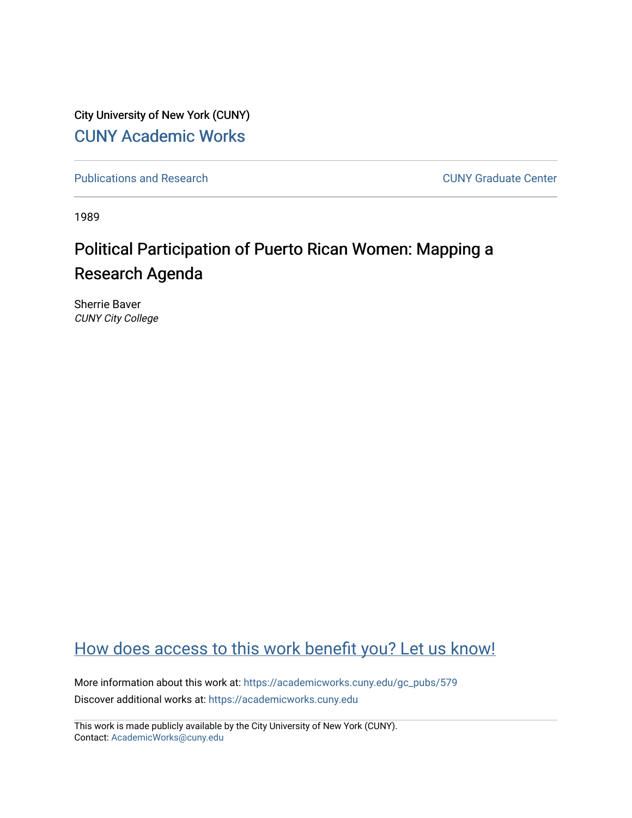City University of New York (CUNY) [CUNY Academic Works](https://academicworks.cuny.edu/) 

[Publications and Research](https://academicworks.cuny.edu/gc_pubs) [CUNY Graduate Center](https://academicworks.cuny.edu/gc) 

1989

# Political Participation of Puerto Rican Women: Mapping a Research Agenda

Sherrie Baver CUNY City College

### [How does access to this work benefit you? Let us know!](http://ols.cuny.edu/academicworks/?ref=https://academicworks.cuny.edu/gc_pubs/579)

More information about this work at: [https://academicworks.cuny.edu/gc\\_pubs/579](https://academicworks.cuny.edu/gc_pubs/579) Discover additional works at: [https://academicworks.cuny.edu](https://academicworks.cuny.edu/?)

This work is made publicly available by the City University of New York (CUNY). Contact: [AcademicWorks@cuny.edu](mailto:AcademicWorks@cuny.edu)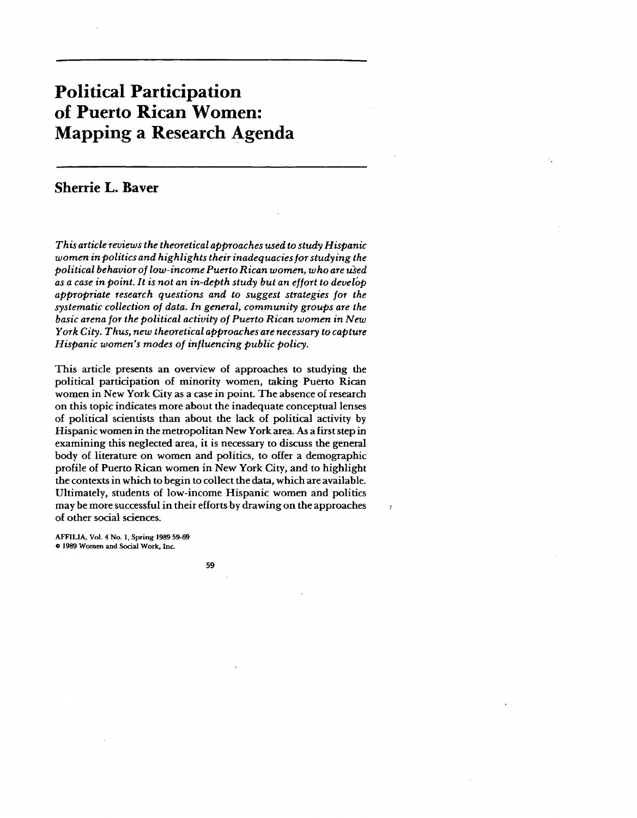## Political Participation of Puerto Rican Women: Mapping a Research Agenda

### Sherrie L. Baver

This article reviews the theoretical approaches used to study Hispanic women in politics and highlights their inadequacies forstudying the political behavior of low-income Puerto Rican women, who are used as a case in point. It is not an in-depth study but an effort to develop appropriate research questions and to suggest strategies for the systematic collection of data. In general, community groups are the basic arena for the political activity of Puerto Rican women in New York City. Thus, new theoretical approaches are necessary to capture Hispanic women's modes of influencing public policy.

This article presents an overview of approaches to studying the political participation of minority women, taking Puerto Rican women in New York City as a case in point. The absence of research on this topic indicates more about the inadequate conceptual lenses of political scientists than about the lack of political activity by Hispanic women in the metropolitan New York area. As a first step in examining this neglected area, it is necessary to discuss the general body of literature on women and politics, to offer a demographic profile of Puerto Rican women in New York City, and to highlight the contexts in which to begin to collect the data, which are available. Ultimately, students of low-income Hispanic women and politics may be more successful in their efforts by drawing on the approaches of other social sciences.

AFFILIA, Vol. 4 No. 1, Spring 1989 59-69 <sup>o</sup> 1989 Women and Social Work, Inc.

59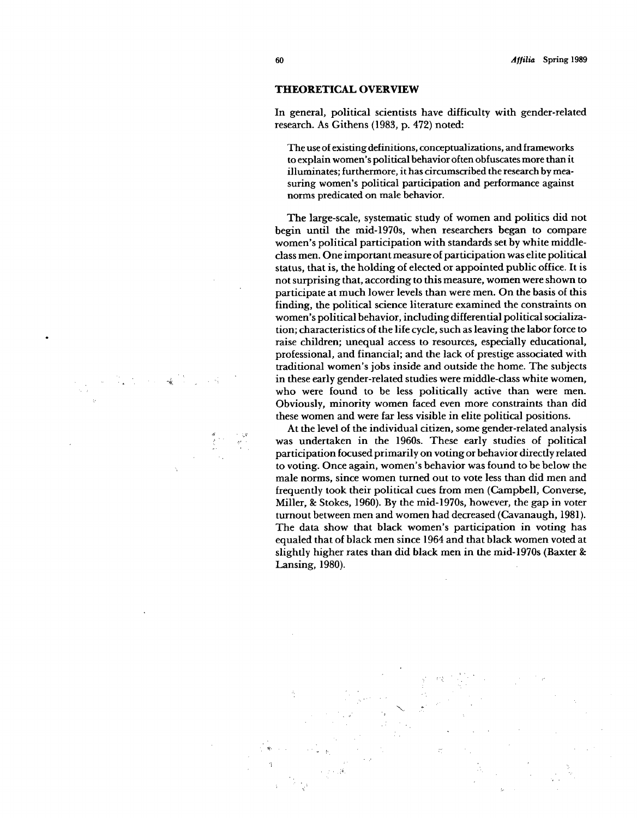#### THEORETICAL OVERVIEW

In general, political scientists have difficulty with gender-related research. As Githens (1983, p. 472) noted:

The use of existing definitions, conceptualizations, and frameworks to explain women's political behavior often obfuscates more than it illuminates; furthermore, it has circumscribed the research by measuring women's political participation and performance against norms predicated on male behavior.

The large-scale, systematic study of women and politics did not begin until the mid-1970s, when researchers began to compare women's political participation with standards set by white middleclass men. One important measure of participation was elite political status, that is, the holding of elected or appointed public office. It is not surprising that, according to this measure, women were shown to participate at much lower levels than were men. On the basis of this finding, the political science literature examined the constraints on women's political behavior, including differential political socialization; characteristics of the life cycle, such as leaving the labor force to raise children; unequal access to resources, especially educational, professional, and financial; and the lack of prestige associated with traditional women's jobs inside and outside the home. The subjects in these early gender-related studies were middle-class white women, who were found to be less politically active than were men. Obviously, minority women faced even more constraints than did these women and were far less visible in elite political positions.

At the level of the individual citizen, some gender-related analysis was undertaken in the 1960s. These early studies of political participation focused primarily on voting or behavior directly related to voting. Once again, women's behavior was found to be below the male norms, since women turned out to vote less than did men and frequently took their political cues from men (Campbell, Converse, Miller, & Stokes, 1960). By the mid-1970s, however, the gap in voter turnout between men and women had decreased (Cavanaugh, 1981). The data show that black women's participation in voting has equaled that of black men since 1964 and that black women voted at slightly higher rates than did black men in the mid-1970s (Baxter & Lansing, 1980).

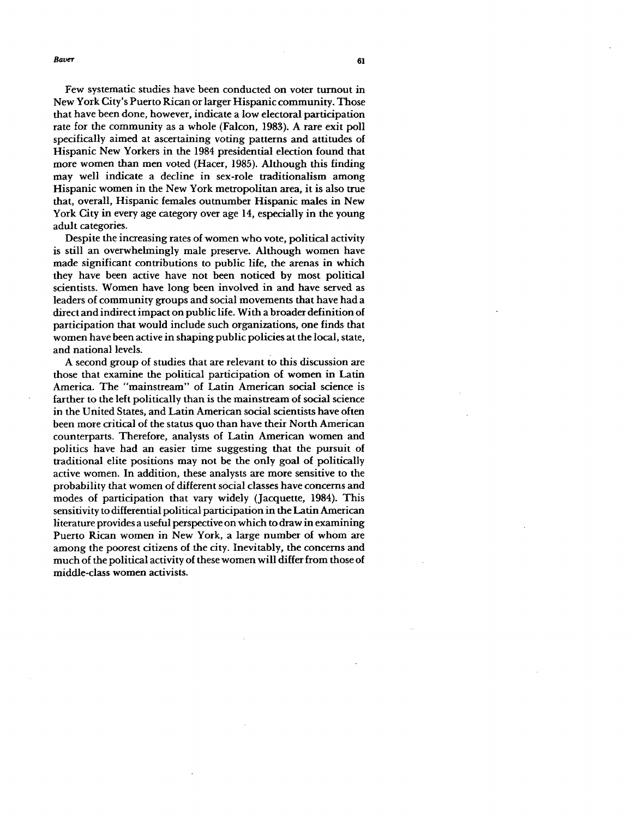Few systematic studies have been conducted on voter turnout in New York City's Puerto Rican or larger Hispanic community. Those rate for the community as a whole (Falcon, 1983). A rare exit poll specifically aimed at ascertaining voting patterns and attitudes of Hispanic New Yorkers in the 1984 presidential election found that more women than men voted (Hacer, 1985). Although this finding may well indicate a decline in sex-role traditionalism among Hispanic women in the New York metropolitan area, it is also true that, overall, Hispanic females outnumber Hispanic males in New York City in every age category over age 14, especially in the young adult categories.

Despite the increasing rates of women who vote, political activity is still an overwhelmingly male preserve. Although women have made significant contributions to public life, the arenas in which they have been active have not been noticed by most political scientists. Women have long been involved in and have served as leaders of community groups and social movements that have had a direct and indirect impact on public life. With a broader definition of participation that would include such organizations, one finds that women have been active in shaping public policies at the local, state, and national levels.

A second group of studies that are relevant to this discussion are those that examine the political participation of women in Latin America. The "mainstream" of Latin American social science is farther to the left politically than is the mainstream of social science in the United States, and Latin American social scientists have often been more critical of the status quo than have their North American counterparts. Therefore, analysts of Latin American women and politics have had an easier time suggesting that the pursuit of traditional elite positions may not be the only goal of politically active women. In addition, these analysts are more sensitive to the probability that women of different social classes have concerns and modes of participation that vary widely (Jacquette, 1984). This sensitivity to differential political participation in the Latin American literature provides a useful perspective on which to draw in examining Puerto Rican women in New York, a large number of whom are among the poorest citizens of the city. Inevitably, the concerns and much of the political activity of these women will differ from those of middle-class women activists.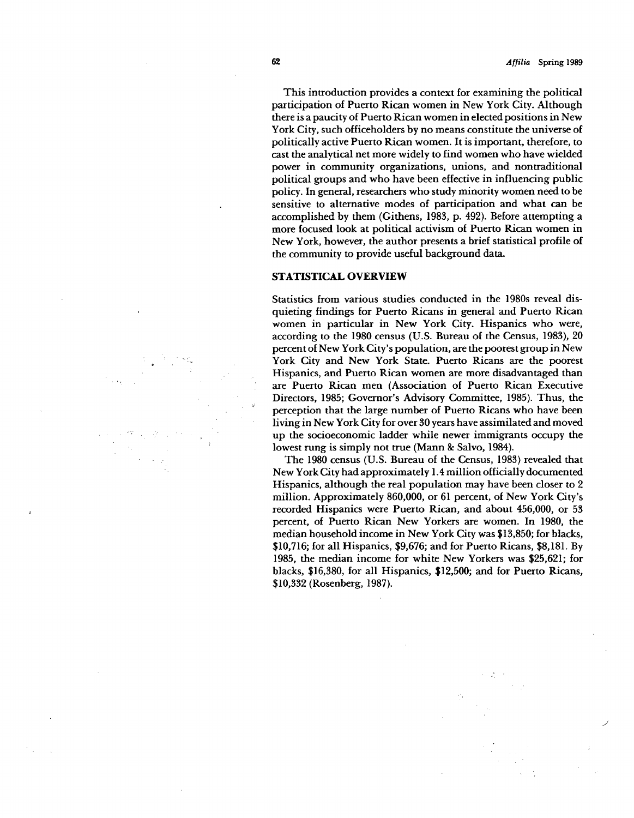This introduction provides a context for examining the political participation of Puerto Rican women in New York City. Although there is a paucity of Puerto Rican women in elected positions in New York City, such officeholders by no means constitute the universe of politically active Puerto Rican women. It is important, therefore, to cast the analytical net more widely to find women who have wielded power in community organizations, unions, and nontraditional political groups and who have been effective in influencing public policy. In general, researchers who study minority women need to be sensitive to alternative modes of participation and what can be accomplished by them (Githens, 1983, p. 492). Before attempting a more focused look at political activism of Puerto Rican women in New York, however, the author presents a brief statistical profile of the community to provide useful background data.

#### STATISTICAL OVERVIEW

Statistics from various studies conducted in the 1980s reveal disquieting findings for Puerto Ricans in general and Puerto Rican women in particular in New York City. Hispanics who were, according to the 1980 census (U.S. Bureau of the Census, 1983), 20 percent of New York City's population, are the poorest group in New York City and New York State. Puerto Ricans are the poorest Hispanics, and Puerto Rican women are more disadvantaged than are Puerto Rican men (Association of Puerto Rican Executive Directors, 1985; Governor's Advisory Committee, 1985). Thus, the perception that the large number of Puerto Ricans who have been living in New York City for over 30 years have assimilated and moved up the socioeconomic ladder while newer immigrants occupy the lowest rung is simply not true (Mann & Salvo, 1984).

The 1980 census (U.S. Bureau of the Census, 1983) revealed that New York City had approximately 1.4 million officially documented Hispanics, although the real population may have been closer to 2 million. Approximately 860,000, or 61 percent, of New York City's recorded Hispanics were Puerto Rican, and about 456,000, or 53 percent, of Puerto Rican New Yorkers are women. In 1980, the median household income in New York City was \$13,850; for blacks, \$10,716; for all Hispanics, \$9,676; and for Puerto Ricans, \$8,181. By 1985, the median income for white New Yorkers was \$25,621; for blacks, \$16,380, for all Hispanics, \$12,500; and for Puerto Ricans, \$10,332 (Rosenberg, 1987).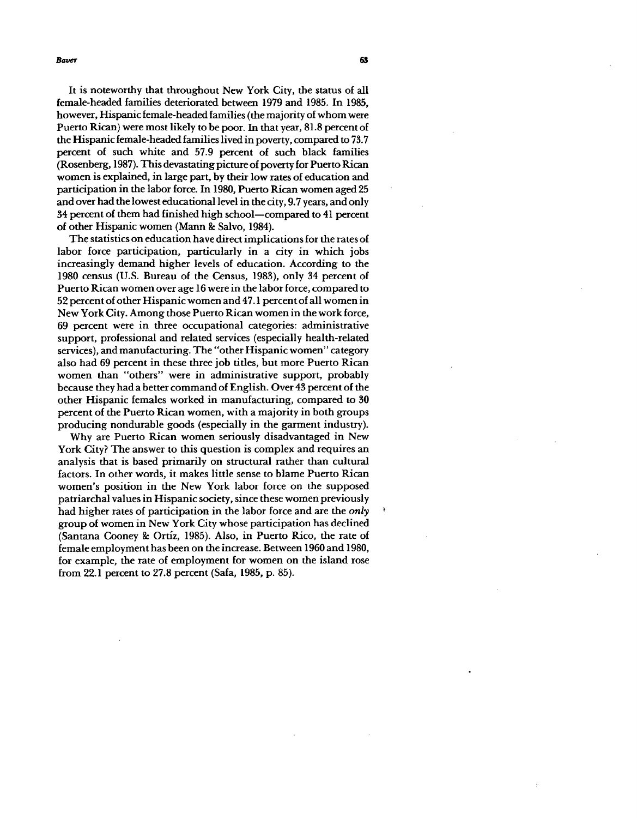**Baver** 

It is noteworthy that throughout New York City, the status of all female-headed families deteriorated between 1979 and 1985. In 1985, however, Hispanic female-headed families (the majority of whom were Puerto Rican) were most likely to be poor. In that year, 81.8 percent of the Hispanic female-headed families lived in poverty, compared to 73.7 percent of such white and 57.9 percent of such black families (Rosenberg, 1987). This devastating picture of poverty for Puerto Rican women is explained, in large part, by their low rates of education and participation in the labor force. In 1980, Puerto Rican women aged 25 and over had the lowest educational level in the city, 9.7 years, and only 34 percent of them had finished high school-compared to 41 percent of other Hispanic women (Mann & Salvo, 1984).

The statistics on education have direct implications for the rates of labor force participation, particularly in a city in which jobs increasingly demand higher levels of education. According to the 1980 census (U.S. Bureau of the Census, 1983), only 34 percent of Puerto Rican women over age 16 were in the labor force, compared to 52 percent of other Hispanic women and 47.1 percent of all women in New York City. Among those Puerto Rican women in the work force, 69 percent were in three occupational categories: administrative support, professional and related services (especially health-related services), and manufacturing. The "other Hispanic women" category also had 69 percent in these three job titles, but more Puerto Rican women than "others" were in administrative support, probably because they had a better command of English. Over 43 percent of the other Hispanic females worked in manufacturing, compared to 30 percent of the Puerto Rican women, with a majority in both groups producing nondurable goods (especially in the garment industry).

Why are Puerto Rican women seriously disadvantaged in New York City? The answer to this question is complex and requires an analysis that is based primarily on structural rather than cultural factors. In other words, it makes little sense to blame Puerto Rican women's position in the New York labor force on the supposed patriarchal values in Hispanic society, since these women previously had higher rates of participation in the labor force and are the only group of women in New York City whose participation has declined (Santana Cooney & Ortiz, 1985). Also, in Puerto Rico, the rate of female employment has been on the increase. Between 1960 and 1980, for example, the rate of employment for women on the island rose from 22.1 percent to 27.8 percent (Safa, 1985, p. 85).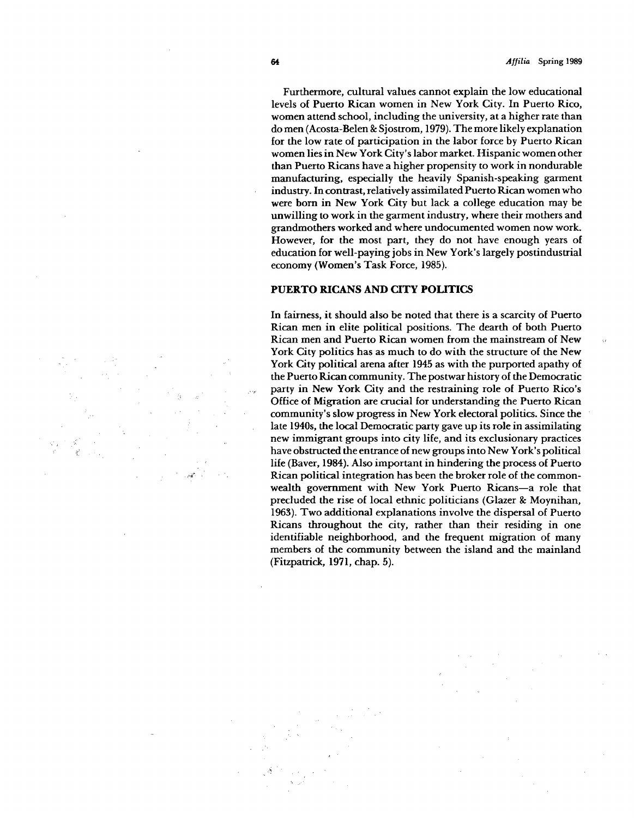Furthermore, cultural values cannot explain the low educational levels of Puerto Rican women in New York City. In Puerto Rico, women attend school, including the university, at a higher rate than do men (Acosta-Belen & Sjostrom, 1979). The more likely explanation for the low rate of participation in the labor force by Puerto Rican women lies in New York City's labor market. Hispanic women other than Puerto Ricans have a higher propensity to work in nondurable manufacturing, especially the heavily Spanish-speaking garment industry. In contrast, relatively assimilated Puerto Rican women who were bom in New York City but lack a college education may be unwilling to work in the garment industry, where their mothers and grandmothers worked and where undocumented women now work. However, for the most part, they do not have enough years of education for well-paying jobs in New York's largely postindustrial economy (Women's Task Force, 1985).

#### PUERTO RICANS AND CITY POLITICS

In fairness, it should also be noted that there is a scarcity of Puerto Rican men in elite political positions. The dearth of both Puerto Rican men and Puerto Rican women from the mainstream of New York City politics has as much to do with the structure of the New York City political arena after 1945 as with the purported apathy of the Puerto Rican community. The postwar history of the Democratic party in New York City and the restraining role of Puerto Rico's Office of Migration are crucial for understanding the Puerto Rican community's slow progress in New York electoral politics. Since the new immigrant groups into city life, and its exclusionary practices have obstructed the entrance of new groups into New York's political life (Baver, 1984). Also important in hindering the process of Puerto Rican political integration has been the broker role of the commonwealth government with New York Puerto Ricans-a role that precluded the rise of local ethnic politicians (Glazer & Moynihan, 1963). Two additional explanations involve the dispersal of Puerto Ricans throughout the city, rather than their residing in one identifiable neighborhood, and the frequent migration of many members of the community between the island and the mainland (Fitzpatrick, 1971, chap. 5).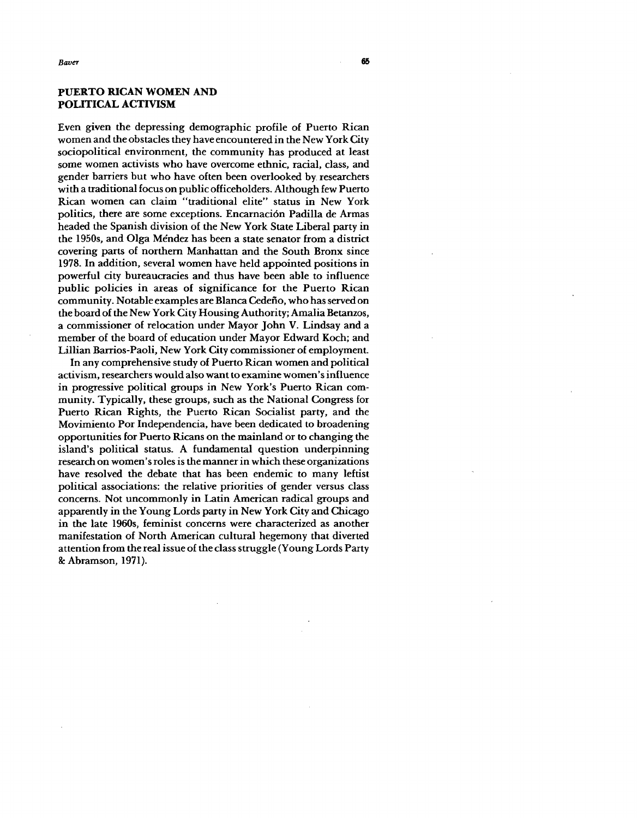#### PUERTO RICAN WOMEN AND POLITICAL ACTIVISM

Even given the depressing demographic profile of Puerto Rican women and the obstacles they have encountered in the New York City sociopolitical environment, the community has produced at least some women activists who have overcome ethnic, racial, class, and gender barriers but who have often been overlooked by. researchers with a traditional focus on public officeholders. Although few Puerto Rican women can claim "traditional elite" status in New York politics, there are some exceptions. Encarnación Padilla de Armas headed the Spanish division of the New York State Liberal party in the 1950s, and Olga Mendez has been a state senator from a district covering parts of northern Manhattan and the South Bronx since 1978. In addition, several women have held appointed positions in powerful city bureaucracies and thus have been able to influence public policies in areas of significance for the Puerto Rican community. Notable examples are Blanca Cedeño, who has served on the board of the New York City Housing Authority; Amalia Betanzos, a commissioner of relocation under Mayor John V. Lindsay and a member of the board of education under Mayor Edward Koch; and Lillian Barrios-Paoli, New York City commissioner of employment.

In any comprehensive study of Puerto Rican women and political activism, researchers would also want to examine women's influence in progressive political groups in New York's Puerto Rican community. Typically, these groups, such as the National Congress for Puerto Rican Rights, the Puerto Rican Socialist party, and the Movimiento Por Independencia, have been dedicated to broadening opportunities for Puerto Ricans on the mainland or to changing the island's political status. A fundamental question underpinning research on women's roles is the manner in which these organizations have resolved the debate that has been endemic to many leftist political associations: the relative priorities of gender versus class concerns. Not uncommonly in Latin American radical groups and apparently in the Young Lords party in New York City and Chicago in the late 1960s, feminist concerns were characterized as another manifestation of North American cultural hegemony that diverted attention from the real issue of the class struggle (Young Lords Party & Abramson, 1971).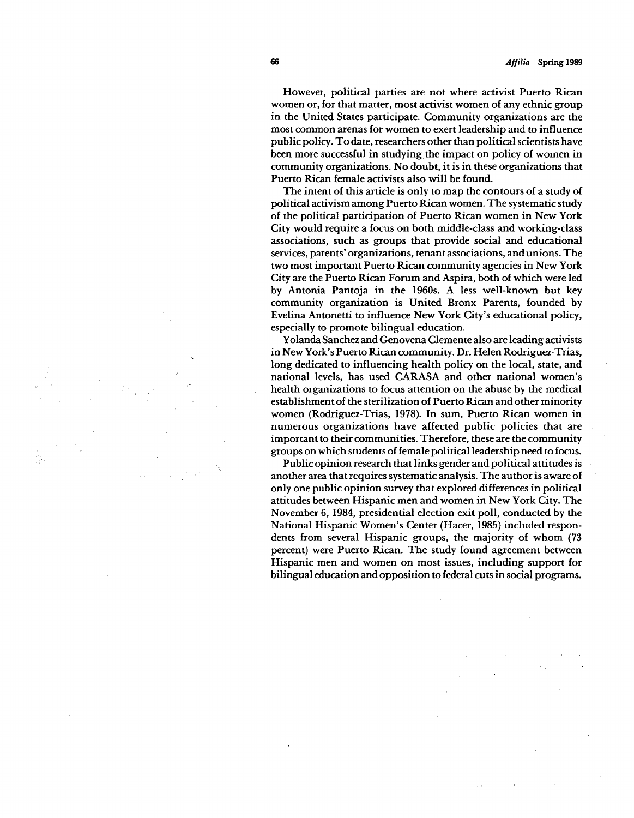However, political parties are not where activist Puerto Rican women or, for that matter, most activist women of any ethnic group in the United States participate. Community organizations are the most common arenas for women to exert leadership and to influence public policy. To date, researchers other than political scientists have been more successful in studying the impact on policy of women in community organizations. No doubt, it is in these organizations that Puerto Rican female activists also will be found.

The intent of this article is only to map the contours of a study of political activism among Puerto Rican women. The systematic study of the political participation of Puerto Rican women in New York City would require a focus on both middle-class and working-class associations, such as groups that provide social and educational services, parents' organizations, tenant associations, and unions. The two most important Puerto Rican community agencies in New York City are the Puerto Rican Forum and Aspira, both of which were led by Antonia Pantoja in the 1960s. A less well-known but key community organization is United Bronx Parents, founded by Evelina Antonetti to influence New York City's educational policy, especially to promote bilingual education.

Yolanda Sanchez and Genovena Clemente also are leading activists in New York's Puerto Rican community. Dr. Helen Rodriguez-Trias, long dedicated to influencing health policy on the local, state, and national levels, has used CARASA and other national women's health organizations to focus attention on the abuse by the medical women (Rodriguez-Trias, 1978). In sum, Puerto Rican women in numerous organizations have affected public policies that are important to their communities. Therefore, these are the community groups on which students of female political leadership need to focus.

Public opinion research that links gender and political attitudes is another area that requires systematic analysis. The author is aware of only one public opinion survey that explored differences in political attitudes between Hispanic men and women in New York City. The November 6, 1984, presidential election exit poll, conducted by the National Hispanic Women's Center (Hacer, 1985) included respondents from several Hispanic groups, the majority of whom (73 percent) were Puerto Rican. The study found agreement between Hispanic men and women on most issues, including support for bilingual education and opposition to federal cuts in social programs.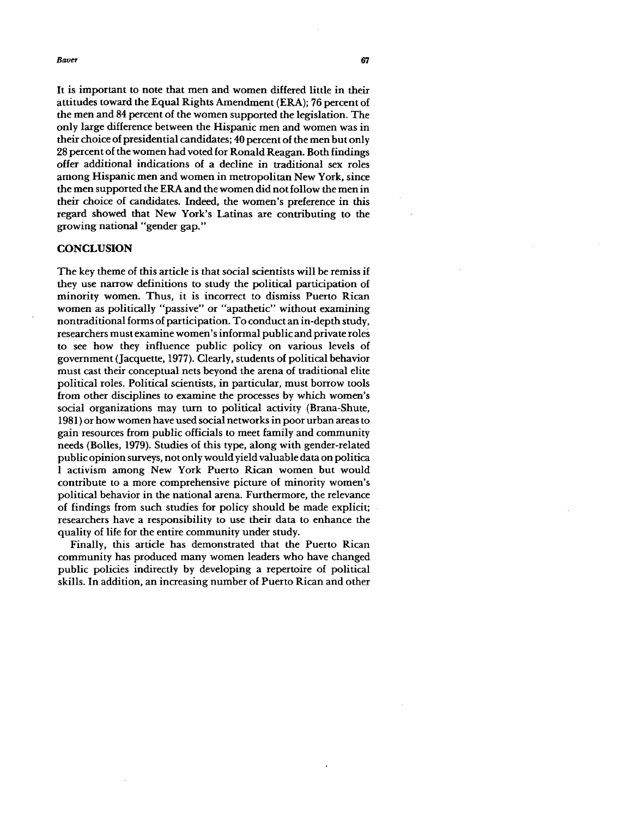Baver

It is important to note that men and women differed little in their attitudes toward the Equal Rights Amendment (ERA); 76 percent of the men and 84 percent of the women supported the legislation. The only large difference between the Hispanic men and women was in their choice of presidential candidates; 40 percent of the men but only 28 percent of the women had voted for Ronald Reagan. Both findings offer additional indications of a decline in traditional sex roles among Hispanic men and women in metropolitan New York, since the men supported the ERA and the women did not follow the men in their choice of candidates. Indeed, the women's preference in this regard showed that New York's Latinas are contributing to the growing national "gender gap."

#### **CONCLUSION**

The key theme of this article is that social scientists will be remiss if they use narrow definitions to study the political participation of minority women. Thus, it is incorrect to dismiss Puerto Rican women as politically "passive" or "apathetic" without examining nontraditional forms of participation. To conduct an in-depth study, researchers must examine women's informal public and private roles to see how they influence public policy on various levels of government (Jacquette, 1977). Clearly, students of political behavior must cast their conceptual nets beyond the arena of traditional elite political roles. Political scientists, in particular, must borrow tools from other disciplines to examine the processes by which women's social organizations may turn to political activity (Brana-Shute, 1981 ) or how women have used social networks in poor urban areas to gain resources from public officials to meet family and community needs (Bolles, 1979). Studies of this type, along with gender-related public opinion surveys, not only would yield valuable data on politica 1 activism among New York Puerto Rican women but would contribute to a more comprehensive picture of minority women's political behavior in the national arena. Furthermore, the relevance of findings from such studies for policy should be made explicit; researchers have a responsibility to use their data to enhance the quality of life for the entire community under study.

Finally, this article has demonstrated that the Puerto Rican community has produced many women leaders who have changed public policies indirectly by developing a repertoire of political skills. In addition, an increasing number of Puerto Rican and other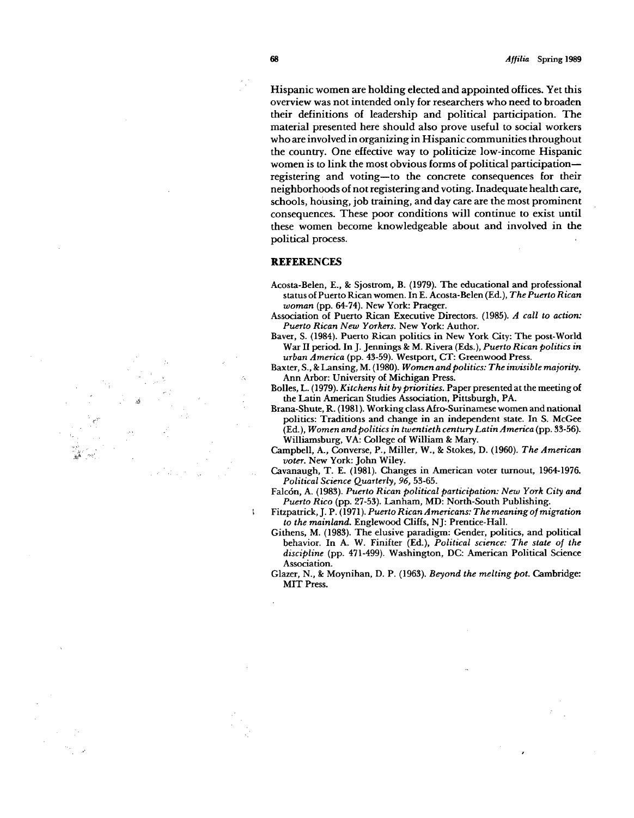Hispanic women are holding elected and appointed offices. Yet this overview was not intended only for researchers who need to broaden their definitions of leadership and political participation. The material presented here should also prove useful to social workers who are involved in organizing in Hispanic communities throughout the country. One effective way to politicize low-income Hispanic women is to link the most obvious forms of political participationregistering and voting-to the concrete consequences for their neighborhoods of not registering and voting. Inadequate health care, schools, housing, job training, and day care are the most prominent consequences. These poor conditions will continue to exist until these women become knowledgeable about and involved in the political process.

#### **REFERENCES**

ţ

- Acosta-Belen, E., & Sjostrom, B. (1979). The educational and professional status of Puerto Rican women. In E. Acosta-Belen (Ed.), The Puerto Rican woman (pp. 64-74). New York: Praeger.
- Association of Puerto Rican Executive Directors. (1985). A call to action: Puerto Rican New Yorkers. New York: Author.
- Baver, S. (1984). Puerto Rican politics in New York City: The post-World War II period. In J. Jennings & M. Rivera (Eds.), Puerto Rican politics in urban America (pp. 43-59). Westport, CT: Greenwood Press.
- Baxter, S., & Lansing, M. (1980). Women and politics: The invisible majority. Ann Arbor: University of Michigan Press.
- Bolles, L. (1979). Kitchens hit by priorities. Paper presented at the meeting of the Latin American Studies Association, Pittsburgh, PA.
- Brana-Shute, R. (1981). Working class Afro-Surinamese women and national politics: Traditions and change in an independent state. In S. McGee (Ed.), Women and politics in twentieth century Latin America (pp. 33-56). Williamsburg, VA: College of William & Mary.
- Campbell, A., Converse, P., Miller, W., & Stokes, D. (1960). The American voter. New York: John Wiley.
- Cavanaugh, T. E. (1981). Changes in American voter turnout, 1964-1976. Political Science Quarterly, 96, 53-65.
- Falcón, A. (1983). Puerto Rican political participation: New York City and Puerto Rico (pp. 27-53). Lanham, MD: North-South Publishing.
- Fitzpatrick, J. P. (1971). Puerto Rican Americans: The meaning of migration to the mainland. Englewood Cliffs, NJ: Prentice-Hall.
	- Githens, M. (1983). The elusive paradigm: Gender, politics, and political behavior. In A. W. Finifter (Ed.), Political science: The state of the discipline (pp. 471-499). Washington, DC: American Political Science Association.
	- Glazer, N., & Moynihan, D. P. (1963). Beyond the melting pot. Cambridge: MIT Press.